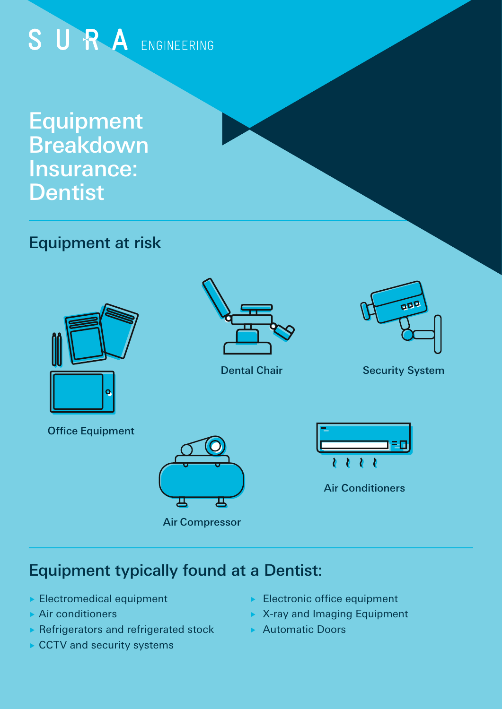# SURA ENGINEERING

Equipment **Breakdown** Insurance: **Dentist** 

## Equipment at risk



Office Equipment



Dental Chair



Security System





Air Conditioners

## Equipment typically found at a Dentist:

- ▶ Electromedical equipment
- ▶ Air conditioners
- $\blacktriangleright$  Refrigerators and refrigerated stock
- ▶ CCTV and security systems
- Electronic office equipment
- ▶ X-ray and Imaging Equipment
- ▶ Automatic Doors